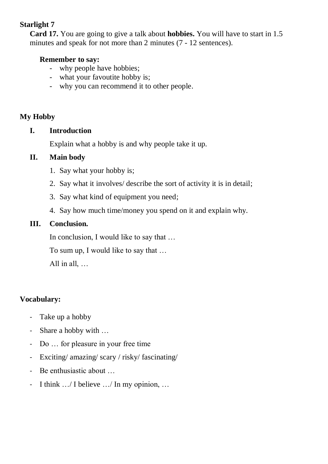# **Starlight 7**

**Card 17.** You are going to give a talk about **hobbies.** You will have to start in 1.5 minutes and speak for not more than 2 minutes (7 - 12 sentences).

#### **Remember to say:**

- why people have hobbies;
- what your favoutite hobby is;
- why you can recommend it to other people.

## **My Hobby**

#### **I. Introduction**

Explain what a hobby is and why people take it up.

## **II. Main body**

- 1. Say what your hobby is;
- 2. Say what it involves/ describe the sort of activity it is in detail;
- 3. Say what kind of equipment you need;
- 4. Say how much time/money you spend on it and explain why.

## **III. Conclusion.**

In conclusion, I would like to say that …

To sum up, I would like to say that …

All in all, …

# **Vocabulary:**

- Take up a hobby
- Share a hobby with …
- Do … for pleasure in your free time
- Exciting/ amazing/ scary / risky/ fascinating/
- Be enthusiastic about …
- I think .../ I believe .../ In my opinion, ...